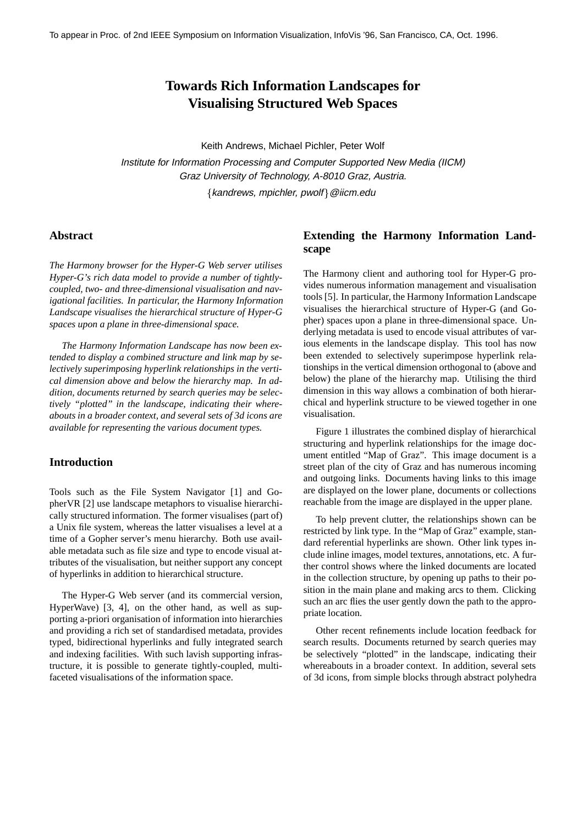# **Towards Rich Information Landscapes for Visualising Structured Web Spaces**

Keith Andrews, Michael Pichler, Peter Wolf

Institute for Information Processing and Computer Supported New Media (IICM) Graz University of Technology, A-8010 Graz, Austria.

 ${Kandrews, mpichler, pwolf} @iicm.edu$ 

### **Abstract**

*The Harmony browser for the Hyper-G Web server utilises Hyper-G's rich data model to provide a number of tightlycoupled, two- and three-dimensional visualisation and navigational facilities. In particular, the Harmony Information Landscape visualises the hierarchical structure of Hyper-G spaces upon a plane in three-dimensional space.*

*The Harmony Information Landscape has now been extended to display a combined structure and link map by selectively superimposing hyperlink relationships in the vertical dimension above and below the hierarchy map. In addition, documents returned by search queries may be selectively "plotted" in the landscape, indicating their whereabouts in a broader context, and several sets of 3d icons are available for representing the various document types.*

## **Introduction**

Tools such as the File System Navigator [1] and GopherVR [2] use landscape metaphors to visualise hierarchically structured information. The former visualises (part of) a Unix file system, whereas the latter visualises a level at a time of a Gopher server's menu hierarchy. Both use available metadata such as file size and type to encode visual attributes of the visualisation, but neither support any concept of hyperlinks in addition to hierarchical structure.

The Hyper-G Web server (and its commercial version, HyperWave) [3, 4], on the other hand, as well as supporting a-priori organisation of information into hierarchies and providing a rich set of standardised metadata, provides typed, bidirectional hyperlinks and fully integrated search and indexing facilities. With such lavish supporting infrastructure, it is possible to generate tightly-coupled, multifaceted visualisations of the information space.

# **Extending the Harmony Information Landscape**

The Harmony client and authoring tool for Hyper-G provides numerous information management and visualisation tools [5]. In particular, the Harmony Information Landscape visualises the hierarchical structure of Hyper-G (and Gopher) spaces upon a plane in three-dimensional space. Underlying metadata is used to encode visual attributes of various elements in the landscape display. This tool has now been extended to selectively superimpose hyperlink relationships in the vertical dimension orthogonal to (above and below) the plane of the hierarchy map. Utilising the third dimension in this way allows a combination of both hierarchical and hyperlink structure to be viewed together in one visualisation.

Figure 1 illustrates the combined display of hierarchical structuring and hyperlink relationships for the image document entitled "Map of Graz". This image document is a street plan of the city of Graz and has numerous incoming and outgoing links. Documents having links to this image are displayed on the lower plane, documents or collections reachable from the image are displayed in the upper plane.

To help prevent clutter, the relationships shown can be restricted by link type. In the "Map of Graz" example, standard referential hyperlinks are shown. Other link types include inline images, model textures, annotations, etc. A further control shows where the linked documents are located in the collection structure, by opening up paths to their position in the main plane and making arcs to them. Clicking such an arc flies the user gently down the path to the appropriate location.

Other recent refinements include location feedback for search results. Documents returned by search queries may be selectively "plotted" in the landscape, indicating their whereabouts in a broader context. In addition, several sets of 3d icons, from simple blocks through abstract polyhedra